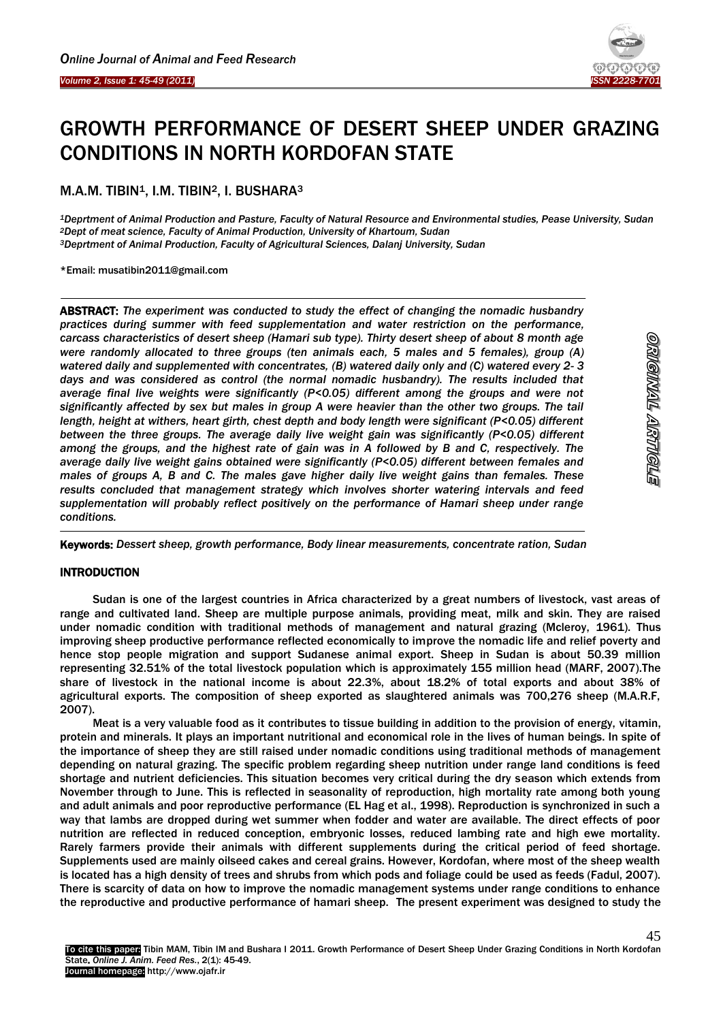

# GROWTH PERFORMANCE OF DESERT SHEEP UNDER GRAZING CONDITIONS IN NORTH KORDOFAN STATE

M.A.M. TIBIN<sup>1</sup>, I.M. TIBIN<sup>2</sup>, I. BUSHARA<sup>3</sup>

*<sup>1</sup>Deprtment of Animal Production and Pasture, Faculty of Natural Resource and Environmental studies, Pease University, Sudan <sup>2</sup>Dept of meat science, Faculty of Animal Production, University of Khartoum, Sudan <sup>3</sup>Deprtment of Animal Production, Faculty of Agricultural Sciences, Dalanj University, Sudan*

\*Email: musatibin2011@gmail.com

Ī

 $\overline{\phantom{a}}$ 

ABSTRACT: *The experiment was conducted to study the effect of changing the nomadic husbandry practices during summer with feed supplementation and water restriction on the performance, carcass characteristics of desert sheep (Hamari sub type). Thirty desert sheep of about 8 month age were randomly allocated to three groups (ten animals each, 5 males and 5 females), group (A) watered daily and supplemented with concentrates, (B) watered daily only and (C) watered every 2- 3 days and was considered as control (the normal nomadic husbandry). The results included that average final live weights were significantly (P<0.05) different among the groups and were not significantly affected by sex but males in group A were heavier than the other two groups. The tail length, height at withers, heart girth, chest depth and body length were significant (P<0.05) different between the three groups. The average daily live weight gain was significantly (P<0.05) different among the groups, and the highest rate of gain was in A followed by B and C, respectively. The average daily live weight gains obtained were significantly (P<0.05) different between females and males of groups A, B and C. The males gave higher daily live weight gains than females. These results concluded that management strategy which involves shorter watering intervals and feed supplementation will probably reflect positively on the performance of Hamari sheep under range conditions.*

Keywords: *Dessert sheep, growth performance, Body linear measurements, concentrate ration, Sudan*

# **INTRODUCTION**

 $\overline{a}$ 

Sudan is one of the largest countries in Africa characterized by a great numbers of livestock, vast areas of range and cultivated land. Sheep are multiple purpose animals, providing meat, milk and skin. They are raised under nomadic condition with traditional methods of management and natural grazing (Mcleroy, 1961). Thus improving sheep productive performance reflected economically to improve the nomadic life and relief poverty and hence stop people migration and support Sudanese animal export. Sheep in Sudan is about 50.39 million representing 32.51% of the total livestock population which is approximately 155 million head (MARF, 2007).The share of livestock in the national income is about 22.3%, about 18.2% of total exports and about 38% of agricultural exports. The composition of sheep exported as slaughtered animals was 700,276 sheep (M.A.R.F, 2007).

Meat is a very valuable food as it contributes to tissue building in addition to the provision of energy, vitamin, protein and minerals. It plays an important nutritional and economical role in the lives of human beings. In spite of the importance of sheep they are still raised under nomadic conditions using traditional methods of management depending on natural grazing. The specific problem regarding sheep nutrition under range land conditions is feed shortage and nutrient deficiencies. This situation becomes very critical during the dry season which extends from November through to June. This is reflected in seasonality of reproduction, high mortality rate among both young and adult animals and poor reproductive performance (EL Hag et al., 1998). Reproduction is synchronized in such a way that lambs are dropped during wet summer when fodder and water are available. The direct effects of poor nutrition are reflected in reduced conception, embryonic losses, reduced lambing rate and high ewe mortality. Rarely farmers provide their animals with different supplements during the critical period of feed shortage. Supplements used are mainly oilseed cakes and cereal grains. However, Kordofan, where most of the sheep wealth is located has a high density of trees and shrubs from which pods and foliage could be used as feeds (Fadul, 2007). There is scarcity of data on how to improve the nomadic management systems under range conditions to enhance the reproductive and productive performance of hamari sheep. The present experiment was designed to study the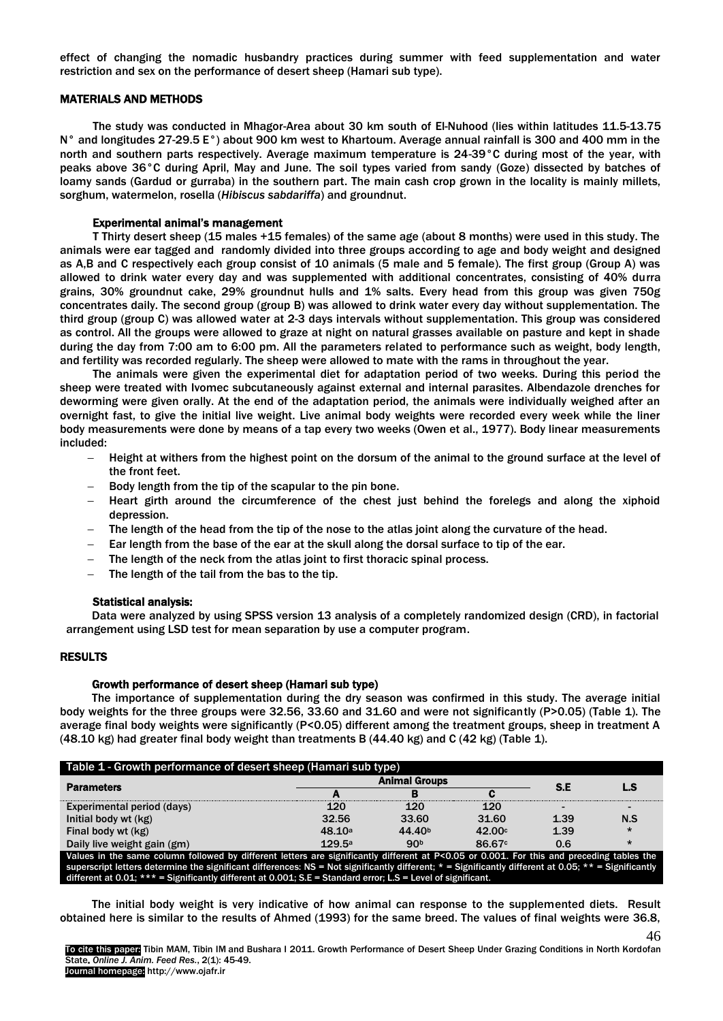effect of changing the nomadic husbandry practices during summer with feed supplementation and water restriction and sex on the performance of desert sheep (Hamari sub type).

### MATERIALS AND METHODS

The study was conducted in Mhagor-Area about 30 km south of El-Nuhood (lies within latitudes 11.5-13.75 N° and longitudes 27-29.5 E°) about 900 km west to Khartoum. Average annual rainfall is 300 and 400 mm in the north and southern parts respectively. Average maximum temperature is 24-39°C during most of the year, with peaks above 36°C during April, May and June. The soil types varied from sandy (Goze) dissected by batches of loamy sands (Gardud or gurraba) in the southern part. The main cash crop grown in the locality is mainly millets, sorghum, watermelon, rosella (*Hibiscus sabdariffa*) and groundnut.

#### Experimental animal's management

T Thirty desert sheep (15 males +15 females) of the same age (about 8 months) were used in this study. The animals were ear tagged and randomly divided into three groups according to age and body weight and designed as A,B and C respectively each group consist of 10 animals (5 male and 5 female). The first group (Group A) was allowed to drink water every day and was supplemented with additional concentrates, consisting of 40% durra grains, 30% groundnut cake, 29% groundnut hulls and 1% salts. Every head from this group was given 750g concentrates daily. The second group (group B) was allowed to drink water every day without supplementation. The third group (group C) was allowed water at 2-3 days intervals without supplementation. This group was considered as control. All the groups were allowed to graze at night on natural grasses available on pasture and kept in shade during the day from 7:00 am to 6:00 pm. All the parameters related to performance such as weight, body length, and fertility was recorded regularly. The sheep were allowed to mate with the rams in throughout the year.

The animals were given the experimental diet for adaptation period of two weeks. During this period the sheep were treated with Ivomec subcutaneously against external and internal parasites. Albendazole drenches for deworming were given orally. At the end of the adaptation period, the animals were individually weighed after an overnight fast, to give the initial live weight. Live animal body weights were recorded every week while the liner body measurements were done by means of a tap every two weeks (Owen et al., 1977). Body linear measurements included:

- Height at withers from the highest point on the dorsum of the animal to the ground surface at the level of the front feet.
- Body length from the tip of the scapular to the pin bone.
- Heart girth around the circumference of the chest just behind the forelegs and along the xiphoid depression.
- The length of the head from the tip of the nose to the atlas joint along the curvature of the head.
- Ear length from the base of the ear at the skull along the dorsal surface to tip of the ear.
- The length of the neck from the atlas joint to first thoracic spinal process.
- $-$  The length of the tail from the bas to the tip.

#### Statistical analysis:

Data were analyzed by using SPSS version 13 analysis of a completely randomized design (CRD), in factorial arrangement using LSD test for mean separation by use a computer program.

#### RESULTS

# Growth performance of desert sheep (Hamari sub type)

The importance of supplementation during the dry season was confirmed in this study. The average initial body weights for the three groups were 32.56, 33.60 and 31.60 and were not significantly (P>0.05) (Table 1). The average final body weights were significantly (P<0.05) different among the treatment groups, sheep in treatment A  $(48.10 \text{ kg})$  had greater final body weight than treatments B $(44.40 \text{ kg})$  and C $(42 \text{ kg})$  (Table 1).

| Table 1 - Growth performance of desert sheep (Hamari sub type)                                                                                           |        |                    |                    |      |                |  |  |
|----------------------------------------------------------------------------------------------------------------------------------------------------------|--------|--------------------|--------------------|------|----------------|--|--|
| <b>Parameters</b>                                                                                                                                        |        | S.E                | L.S                |      |                |  |  |
|                                                                                                                                                          |        |                    |                    |      |                |  |  |
| Experimental period (days)                                                                                                                               | 120    | 120                | 120                |      | $\blacksquare$ |  |  |
| Initial body wt (kg)                                                                                                                                     | 32.56  | 33.60              | 31.60              | 1.39 | N.S            |  |  |
| Final body wt (kg)                                                                                                                                       | 48.10a | 44.40 <sup>b</sup> | 42.00c             | 1.39 | $^\star$       |  |  |
| Daily live weight gain (gm)                                                                                                                              | 129.5a | 90 <sub>b</sub>    | 86.67 <sup>c</sup> | 0.6  | $\star$        |  |  |
| Values in the same column followed by different letters are significantly different at P<0.05 or 0.001. For this and preceding tables the                |        |                    |                    |      |                |  |  |
| superscript letters determine the significant differences: NS = Not significantly different; $*$ = Significantly different at 0.05; $**$ = Significantly |        |                    |                    |      |                |  |  |
| different at 0.01; $***$ = Significantly different at 0.001; S.E = Standard error; L.S = Level of significant.                                           |        |                    |                    |      |                |  |  |

The initial body weight is very indicative of how animal can response to the supplemented diets. Result obtained here is similar to the results of Ahmed (1993) for the same breed. The values of final weights were 36.8,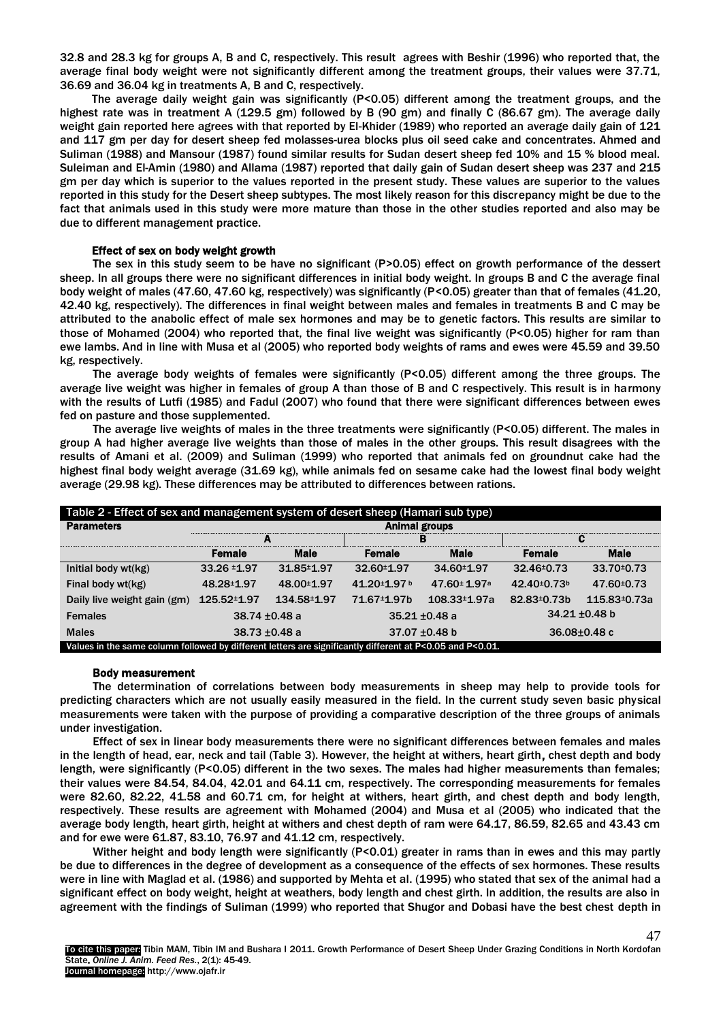32.8 and 28.3 kg for groups A, B and C, respectively. This result agrees with Beshir (1996) who reported that, the average final body weight were not significantly different among the treatment groups, their values were 37.71, 36.69 and 36.04 kg in treatments A, B and C, respectively.

The average daily weight gain was significantly (P<0.05) different among the treatment groups, and the highest rate was in treatment A (129.5 gm) followed by B (90 gm) and finally C (86.67 gm). The average daily weight gain reported here agrees with that reported by El-Khider (1989) who reported an average daily gain of 121 and 117 gm per day for desert sheep fed molasses-urea blocks plus oil seed cake and concentrates. Ahmed and Suliman (1988) and Mansour (1987) found similar results for Sudan desert sheep fed 10% and 15 % blood meal. Suleiman and El-Amin (1980) and Allama (1987) reported that daily gain of Sudan desert sheep was 237 and 215 gm per day which is superior to the values reported in the present study. These values are superior to the values reported in this study for the Desert sheep subtypes. The most likely reason for this discrepancy might be due to the fact that animals used in this study were more mature than those in the other studies reported and also may be due to different management practice.

# Effect of sex on body weight growth

The sex in this study seem to be have no significant (P>0.05) effect on growth performance of the dessert sheep. In all groups there were no significant differences in initial body weight. In groups B and C the average final body weight of males (47.60, 47.60 kg, respectively) was significantly (P<0.05) greater than that of females (41.20, 42.40 kg, respectively). The differences in final weight between males and females in treatments B and C may be attributed to the anabolic effect of male sex hormones and may be to genetic factors. This results are similar to those of Mohamed (2004) who reported that, the final live weight was significantly (P<0.05) higher for ram than ewe lambs. And in line with Musa et al (2005) who reported body weights of rams and ewes were 45.59 and 39.50 kg, respectively.

The average body weights of females were significantly (P<0.05) different among the three groups. The average live weight was higher in females of group A than those of B and C respectively. This result is in harmony with the results of Lutfi (1985) and Fadul (2007) who found that there were significant differences between ewes fed on pasture and those supplemented.

The average live weights of males in the three treatments were significantly (P<0.05) different. The males in group A had higher average live weights than those of males in the other groups. This result disagrees with the results of Amani et al. (2009) and Suliman (1999) who reported that animals fed on groundnut cake had the highest final body weight average (31.69 kg), while animals fed on sesame cake had the lowest final body weight average (29.98 kg). These differences may be attributed to differences between rations.

| Table 2 - Effect of sex and management system of desert sheep (Hamari sub type)                           |                      |               |                    |                           |                         |              |  |  |
|-----------------------------------------------------------------------------------------------------------|----------------------|---------------|--------------------|---------------------------|-------------------------|--------------|--|--|
| <b>Parameters</b>                                                                                         | <b>Animal groups</b> |               |                    |                           |                         |              |  |  |
|                                                                                                           | A                    |               |                    | в                         | C                       |              |  |  |
|                                                                                                           | <b>Female</b>        | <b>Male</b>   | Female             | <b>Male</b>               | <b>Female</b>           | <b>Male</b>  |  |  |
| Initial body wt(kg)                                                                                       | 33.26 ±1.97          | 31.85 ± 1.97  | 32.60±1.97         | 34.60±1.97                | 32.46 ± 0.73            | 33.70 ± 0.73 |  |  |
| Final body wt(kg)                                                                                         | 48.28 ± 1.97         | 48.00 ± 1.97  | 41.20±1.97b        | 47.60 ± 1.97 <sup>a</sup> | 42.40±0.73 <sup>b</sup> | 47.60 ± 0.73 |  |  |
| Daily live weight gain (gm)                                                                               | 125.52 ± 1.97        | 134.58 ± 1.97 | 71.67 ± 1.97b      | $108.33 \pm 1.97a$        | 82.83 ± 0.73 b          | 115.83±0.73a |  |  |
| <b>Females</b>                                                                                            | 38.74 $\pm$ 0.48 a   |               |                    | $35.21 + 0.48$ a          | $34.21 \pm 0.48$ b      |              |  |  |
| <b>Males</b>                                                                                              | $38.73 \pm 0.48$ a   |               | 37.07 $\pm$ 0.48 b |                           | $36.08 \pm 0.48$ c      |              |  |  |
| Values in the same column followed by different letters are significantly different at P<0.05 and P<0.01. |                      |               |                    |                           |                         |              |  |  |

#### Body measurement

The determination of correlations between body measurements in sheep may help to provide tools for predicting characters which are not usually easily measured in the field. In the current study seven basic physical measurements were taken with the purpose of providing a comparative description of the three groups of animals under investigation.

Effect of sex in linear body measurements there were no significant differences between females and males in the length of head, ear, neck and tail (Table 3). However, the height at withers, heart girth, chest depth and body length, were significantly (P<0.05) different in the two sexes. The males had higher measurements than females; their values were 84.54, 84.04, 42.01 and 64.11 cm, respectively. The corresponding measurements for females were 82.60, 82.22, 41.58 and 60.71 cm, for height at withers, heart girth, and chest depth and body length, respectively. These results are agreement with Mohamed (2004) and Musa et al (2005) who indicated that the average body length, heart girth, height at withers and chest depth of ram were 64.17, 86.59, 82.65 and 43.43 cm and for ewe were 61.87, 83.10, 76.97 and 41.12 cm, respectively.

Wither height and body length were significantly (P<0.01) greater in rams than in ewes and this may partly be due to differences in the degree of development as a consequence of the effects of sex hormones. These results were in line with Maglad et al. (1986) and supported by Mehta et al. (1995) who stated that sex of the animal had a significant effect on body weight, height at weathers, body length and chest girth. In addition, the results are also in agreement with the findings of Suliman (1999) who reported that Shugor and Dobasi have the best chest depth in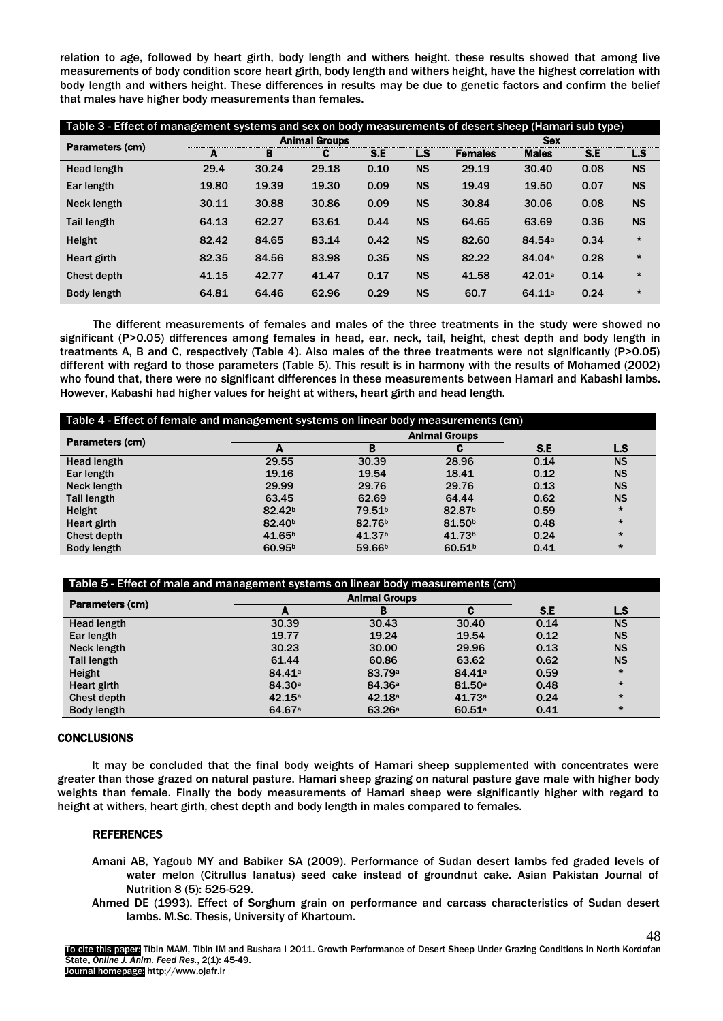relation to age, followed by heart girth, body length and withers height. these results showed that among live measurements of body condition score heart girth, body length and withers height, have the highest correlation with body length and withers height. These differences in results may be due to genetic factors and confirm the belief that males have higher body measurements than females.

| Table 3 - Effect of management systems and sex on body measurements of desert sheep (Hamari sub type) |       |                      |       |      |           |                |                    |      |           |
|-------------------------------------------------------------------------------------------------------|-------|----------------------|-------|------|-----------|----------------|--------------------|------|-----------|
| Parameters (cm)                                                                                       |       | <b>Animal Groups</b> |       |      |           | <b>Sex</b>     |                    |      |           |
|                                                                                                       | A     | в                    | C     | S.E  | L.S       | <b>Females</b> | <b>Males</b>       | S.E  | L.S       |
| <b>Head length</b>                                                                                    | 29.4  | 30.24                | 29.18 | 0.10 | <b>NS</b> | 29.19          | 30.40              | 0.08 | <b>NS</b> |
| Ear length                                                                                            | 19.80 | 19.39                | 19.30 | 0.09 | <b>NS</b> | 19.49          | 19.50              | 0.07 | <b>NS</b> |
| Neck length                                                                                           | 30.11 | 30.88                | 30.86 | 0.09 | <b>NS</b> | 30.84          | 30.06              | 0.08 | <b>NS</b> |
| <b>Tail length</b>                                                                                    | 64.13 | 62.27                | 63.61 | 0.44 | <b>NS</b> | 64.65          | 63.69              | 0.36 | <b>NS</b> |
| Height                                                                                                | 82.42 | 84.65                | 83.14 | 0.42 | <b>NS</b> | 82.60          | 84.54 <sup>a</sup> | 0.34 | $\star$   |
| Heart girth                                                                                           | 82.35 | 84.56                | 83.98 | 0.35 | <b>NS</b> | 82.22          | 84.04 <sup>a</sup> | 0.28 | $\star$   |
| Chest depth                                                                                           | 41.15 | 42.77                | 41.47 | 0.17 | <b>NS</b> | 41.58          | 42.01a             | 0.14 | $\star$   |
| <b>Body length</b>                                                                                    | 64.81 | 64.46                | 62.96 | 0.29 | <b>NS</b> | 60.7           | 64.11a             | 0.24 | $\star$   |

The different measurements of females and males of the three treatments in the study were showed no significant (P>0.05) differences among females in head, ear, neck, tail, height, chest depth and body length in treatments A, B and C, respectively (Table 4). Also males of the three treatments were not significantly (P>0.05) different with regard to those parameters (Table 5). This result is in harmony with the results of Mohamed (2002) who found that, there were no significant differences in these measurements between Hamari and Kabashi lambs. However, Kabashi had higher values for height at withers, heart girth and head length.

| Table 4 - Effect of female and management systems on linear body measurements (cm) |                          |                      |                    |      |           |  |  |
|------------------------------------------------------------------------------------|--------------------------|----------------------|--------------------|------|-----------|--|--|
| Parameters (cm)                                                                    |                          | <b>Animal Groups</b> |                    |      |           |  |  |
|                                                                                    | $\overline{\phantom{a}}$ | в                    |                    | S.E  | LS        |  |  |
| Head length                                                                        | 29.55                    | 30.39                | 28.96              | 0.14 | <b>NS</b> |  |  |
| Ear length                                                                         | 19.16                    | 19.54                | 18.41              | 0.12 | <b>NS</b> |  |  |
| Neck length                                                                        | 29.99                    | 29.76                | 29.76              | 0.13 | <b>NS</b> |  |  |
| <b>Tail length</b>                                                                 | 63.45                    | 62.69                | 64.44              | 0.62 | <b>NS</b> |  |  |
| Height                                                                             | 82.42 <sup>b</sup>       | 79.51 <sup>b</sup>   | 82.87 <sup>b</sup> | 0.59 | $\star$   |  |  |
| Heart girth                                                                        | 82.40 <sup>b</sup>       | 82.76 <sup>b</sup>   | 81.50 <sup>b</sup> | 0.48 | $\star$   |  |  |
| Chest depth                                                                        | 41.65 <sup>b</sup>       | 41.37 <sup>b</sup>   | 41.73 <sup>b</sup> | 0.24 | $\star$   |  |  |
| Body length                                                                        | 60.95 <sup>b</sup>       | 59.66 <sup>b</sup>   | 60.51 <sup>b</sup> | 0.41 | $\star$   |  |  |

| Table 5 - Effect of male and management systems on linear body measurements (cm) |                    |                      |                    |      |           |  |
|----------------------------------------------------------------------------------|--------------------|----------------------|--------------------|------|-----------|--|
| Parameters (cm)                                                                  |                    | <b>Animal Groups</b> |                    |      |           |  |
|                                                                                  | А                  | в                    | с                  | S.E  | L.S       |  |
| <b>Head length</b>                                                               | 30.39              | 30.43                | 30.40              | 0.14 | <b>NS</b> |  |
| Ear length                                                                       | 19.77              | 19.24                | 19.54              | 0.12 | <b>NS</b> |  |
| Neck length                                                                      | 30.23              | 30.00                | 29.96              | 0.13 | <b>NS</b> |  |
| <b>Tail length</b>                                                               | 61.44              | 60.86                | 63.62              | 0.62 | <b>NS</b> |  |
| Height                                                                           | 84.41 <sup>a</sup> | 83.79a               | 84.41 <sup>a</sup> | 0.59 | $\star$   |  |
| Heart girth                                                                      | 84.30 <sup>a</sup> | 84.36 <sup>a</sup>   | 81.50a             | 0.48 | $\star$   |  |
| Chest depth                                                                      | 42.15a             | 42.18a               | 41.73a             | 0.24 | $\star$   |  |
| Body length                                                                      | 64.67 <sup>a</sup> | 63.26a               | 60.51a             | 0.41 | $\star$   |  |

#### **CONCLUSIONS**

It may be concluded that the final body weights of Hamari sheep supplemented with concentrates were greater than those grazed on natural pasture. Hamari sheep grazing on natural pasture gave male with higher body weights than female. Finally the body measurements of Hamari sheep were significantly higher with regard to height at withers, heart girth, chest depth and body length in males compared to females.

# REFERENCES

- Amani AB, Yagoub MY and Babiker SA (2009). Performance of Sudan desert lambs fed graded levels of water melon (Citrullus lanatus) seed cake instead of groundnut cake. Asian Pakistan Journal of Nutrition 8 (5): 525-529.
- Ahmed DE (1993). Effect of Sorghum grain on performance and carcass characteristics of Sudan desert lambs. M.Sc. Thesis, University of Khartoum.